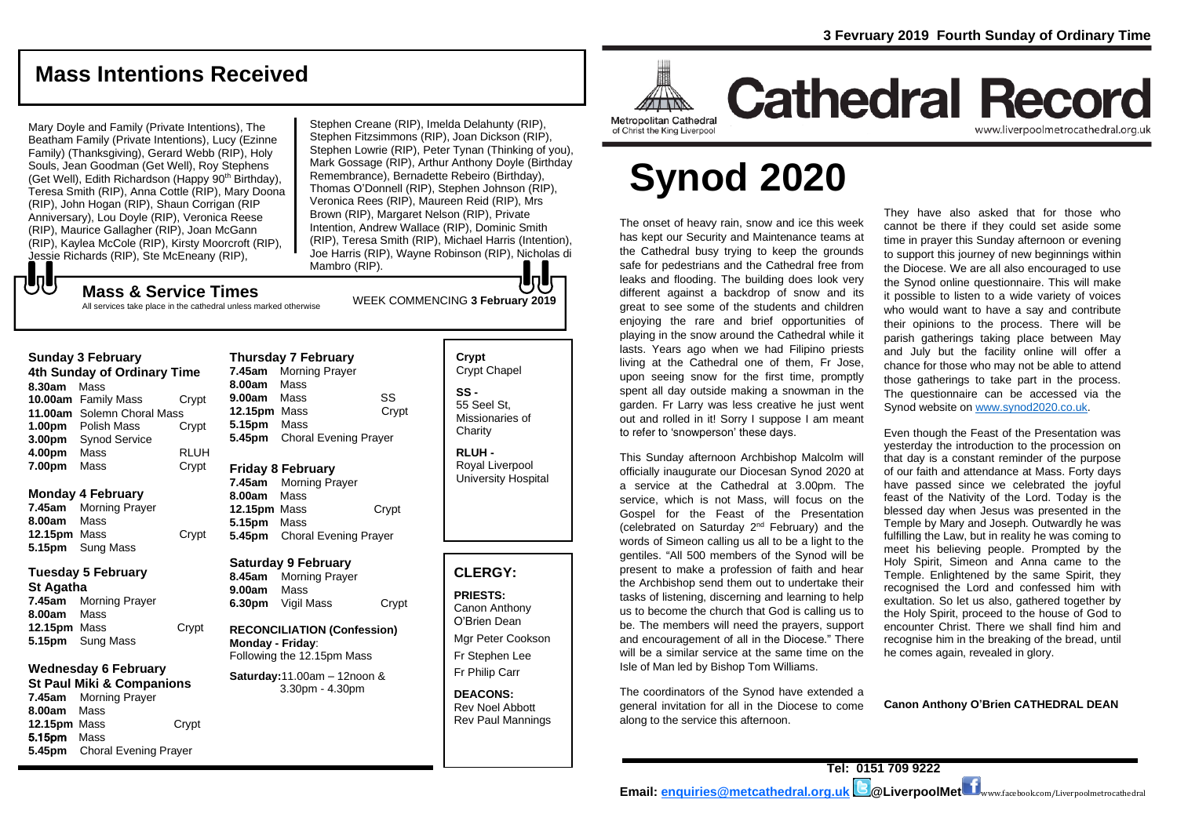**Cathedral Record** 

# **Mass Intentions Received**

Mary Doyle and Family (Private Intentions), The Beatham Family (Private Intentions), Lucy (Ezinne Family) (Thanksgiving), Gerard Webb (RIP), Holy Souls, Jean Goodman (Get Well), Roy Stephens (Get Well), Edith Richardson (Happy 90<sup>th</sup> Birthday), Teresa Smith (RIP), Anna Cottle (RIP), Mary Doona (RIP), John Hogan (RIP), Shaun Corrigan (RIP Anniversary), Lou Doyle (RIP), Veronica Reese (RIP), Maurice Gallagher (RIP), Joan McGann (RIP), Kaylea McCole (RIP), Kirsty Moorcroft (RIP), Jessie Richards (RIP), Ste McEneany (RIP),

Stephen Creane (RIP), Imelda Delahunty (RIP), Stephen Fitzsimmons (RIP), Joan Dickson (RIP), Stephen Lowrie (RIP), Peter Tynan (Thinking of you), Mark Gossage (RIP), Arthur Anthony Doyle (Birthday Remembrance), Bernadette Rebeiro (Birthday), Thomas O'Donnell (RIP), Stephen Johnson (RIP), Veronica Rees (RIP), Maureen Reid (RIP), Mrs Brown (RIP), Margaret Nelson (RIP), Private Intention, Andrew Wallace (RIP), Dominic Smith (RIP), Teresa Smith (RIP), Michael Harris (Intention), Joe Harris (RIP), Wayne Robinson (RIP), Nicholas di Mambro (RIP). lo l

# でし

WEEK COMMENCING **3 February <sup>2019</sup> Mass & Service Times** All services take place in the cathedral unless marked otherwise

#### **Sunday 3 February**

**4th Sunday of Ordinary Time 8.30am** Mass **10.00am** Family Mass Crypt **11.00am** Solemn Choral Mass **1.00pm** Polish Mass Crypt **3.00pm** Synod Service **4.00pm** Mass RLUH **7.00pm** Mass Crypt

#### **Monday 4 February**

**7.45am** Morning Prayer **8.00am** Mass **12.15pm** Mass Crypt **5.15pm** Sung Mass

#### **Tuesday 5 February**

**St Agatha 7.45am** Morning Prayer **8.00am** Mass **12.15pm** Mass Crypt **5.15pm** Sung Mass

## **Wednesday 6 February**

**St Paul Miki & Companions 7.45am** Morning Prayer **8.00am** Mass **12.15pm** Mass Crypt 5.15pm Mass **5.45pm** Choral Evening Prayer

**Thursday 7 February 7.45am** Morning Prayer **8.00am** Mass **9.00am** Mass SS **12.15pm** Mass Crypt **5.15pm** Mass **5.45pm** Choral Evening Prayer

#### **Friday 8 February**

**7.45am** Morning Prayer **8.00am** Mass 12.15pm Mass Crypt **5.15pm** Mass **5.45pm** Choral Evening Prayer

#### **Saturday 9 February**

**8.45am** Morning Prayer **9.00am** Mass **6.30pm** Vigil Mass Crypt

**RECONCILIATION (Confession) Monday - Friday**: Following the 12.15pm Mass

**Saturday:**11.00am – 12noon & 3.30pm - 4.30pm

#### **Crypt**  Crypt Chapel **SS -** 55 Seel St, Missionaries of **Charity**

**RLUH -** Royal Liverpool University Hospital

#### **CLERGY:**

**PRIESTS:** Canon Anthony O'Brien *Dean* Mgr Peter Cookson Fr Stephen Lee Fr Philip Carr

**DEACONS:** Rev Noel Abbott Rev Paul Mannings Metropolitan Cathedral of Christ the King Liverpool

# **Synod 2020**

The onset of heavy rain, snow and ice this week has kept our Security and Maintenance teams at the Cathedral busy trying to keep the grounds safe for pedestrians and the Cathedral free from leaks and flooding. The building does look very different against a backdrop of snow and its great to see some of the students and children enjoying the rare and brief opportunities of playing in the snow around the Cathedral while it lasts. Years ago when we had Filipino priests living at the Cathedral one of them, Fr Jose, upon seeing snow for the first time, promptly spent all day outside making a snowman in the garden. Fr Larry was less creative he just went out and rolled in it! Sorry I suppose I am meant to refer to 'snowperson' these days.

This Sunday afternoon Archbishop Malcolm will officially inaugurate our Diocesan Synod 2020 at a service at the Cathedral at 3.00pm. The service, which is not Mass, will focus on the Gospel for the Feast of the Presentation (celebrated on Saturday 2nd February) and the words of Simeon calling us all to be a light to the gentiles. "All 500 members of the Synod will be present to make a profession of faith and hear the Archbishop send them out to undertake their tasks of listening, discerning and learning to help us to become the church that God is calling us to be. The members will need the prayers, support and encouragement of all in the Diocese." There will be a similar service at the same time on the Isle of Man led by Bishop Tom Williams.

The coordinators of the Synod have extended a general invitation for all in the Diocese to come along to the service this afternoon.

They have also asked that for those who cannot be there if they could set aside some time in prayer this Sunday afternoon or evening to support this journey of new beginnings within the Diocese. We are all also encouraged to use the Synod online questionnaire. This will make it possible to listen to a wide variety of voices who would want to have a say and contribute their opinions to the process. There will be parish gatherings taking place between May and July but the facility online will offer a chance for those who may not be able to attend those gatherings to take part in the process. The questionnaire can be accessed via the Synod website o[n www.synod2020.co.uk.](http://www.synod2020.co.uk/)

www.liverpoolmetrocathedral.org.ul

Even though the Feast of the Presentation was yesterday the introduction to the procession on that day is a constant reminder of the purpose of our faith and attendance at Mass. Forty days have passed since we celebrated the joyful feast of the Nativity of the Lord. Today is the blessed day when Jesus was presented in the Temple by Mary and Joseph. Outwardly he was fulfilling the Law, but in reality he was coming to meet his believing people. Prompted by the Holy Spirit, Simeon and Anna came to the Temple. Enlightened by the same Spirit, they recognised the Lord and confessed him with exultation. So let us also, gathered together by the Holy Spirit, proceed to the house of God to encounter Christ. There we shall find him and recognise him in the breaking of the bread, until he comes again, revealed in glory.

**Canon Anthony O'Brien CATHEDRAL DEAN**